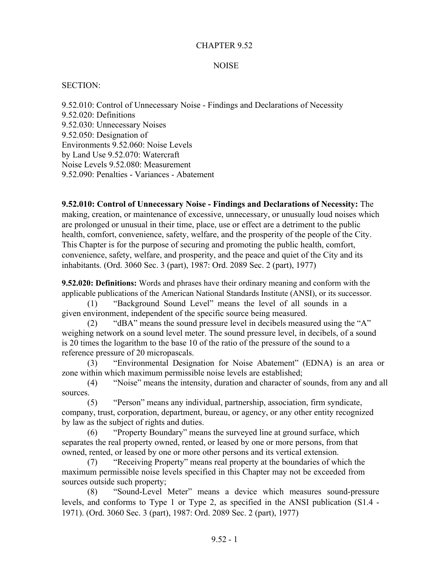#### CHAPTER 9.52

#### **NOISE**

#### SECTION:

9.52.010: Control of Unnecessary Noise - Findings and Declarations of Necessity 9.52.020: Definitions 9.52.030: Unnecessary Noises 9.52.050: Designation of Environments 9.52.060: Noise Levels by Land Use 9.52.070: Watercraft Noise Levels 9.52.080: Measurement 9.52.090: Penalties - Variances - Abatement

**9.52.010: Control of Unnecessary Noise - Findings and Declarations of Necessity:** The making, creation, or maintenance of excessive, unnecessary, or unusually loud noises which are prolonged or unusual in their time, place, use or effect are a detriment to the public health, comfort, convenience, safety, welfare, and the prosperity of the people of the City. This Chapter is for the purpose of securing and promoting the public health, comfort, convenience, safety, welfare, and prosperity, and the peace and quiet of the City and its inhabitants. (Ord. 3060 Sec. 3 (part), 1987: Ord. 2089 Sec. 2 (part), 1977)

**9.52.020: Definitions:** Words and phrases have their ordinary meaning and conform with the applicable publications of the American National Standards Institute (ANSI), or its successor.

(1) "Background Sound Level" means the level of all sounds in a given environment, independent of the specific source being measured.

(2) "dBA" means the sound pressure level in decibels measured using the "A" weighing network on a sound level meter. The sound pressure level, in decibels, of a sound is 20 times the logarithm to the base 10 of the ratio of the pressure of the sound to a reference pressure of 20 micropascals.

(3) "Environmental Designation for Noise Abatement" (EDNA) is an area or zone within which maximum permissible noise levels are established;

(4) "Noise" means the intensity, duration and character of sounds, from any and all sources.

(5) "Person" means any individual, partnership, association, firm syndicate, company, trust, corporation, department, bureau, or agency, or any other entity recognized by law as the subject of rights and duties.

(6) "Property Boundary" means the surveyed line at ground surface, which separates the real property owned, rented, or leased by one or more persons, from that owned, rented, or leased by one or more other persons and its vertical extension.

(7) "Receiving Property" means real property at the boundaries of which the maximum permissible noise levels specified in this Chapter may not be exceeded from sources outside such property;

(8) "Sound-Level Meter" means a device which measures sound-pressure levels, and conforms to Type 1 or Type 2, as specified in the ANSI publication (S1.4 - 1971). (Ord. 3060 Sec. 3 (part), 1987: Ord. 2089 Sec. 2 (part), 1977)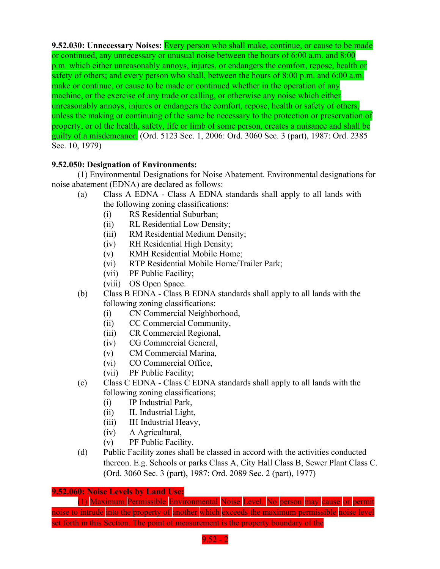**9.52.030: Unnecessary Noises:** Every person who shall make, continue, or cause to be made or continued, any unnecessary or unusual noise between the hours of 6:00 a.m. and 8:00 p.m. which either unreasonably annoys, injures, or endangers the comfort, repose, health or safety of others; and every person who shall, between the hours of 8:00 p.m. and 6:00 a.m. make or continue, or cause to be made or continued whether in the operation of any machine, or the exercise of any trade or calling, or otherwise any noise which either unreasonably annoys, injures or endangers the comfort, repose, health or safety of others, unless the making or continuing of the same be necessary to the protection or preservation of property, or of the health, safety, life or limb of some person, creates a nuisance and shall be guilty of a misdemeanor. (Ord. 5123 Sec. 1, 2006: Ord. 3060 Sec. 3 (part), 1987: Ord. 2385 Sec. 10, 1979)

## **9.52.050: Designation of Environments:**

(1) Environmental Designations for Noise Abatement. Environmental designations for noise abatement (EDNA) are declared as follows:

- (a) Class A EDNA Class A EDNA standards shall apply to all lands with the following zoning classifications:
	- (i) RS Residential Suburban;
	- (ii) RL Residential Low Density;
	- (iii) RM Residential Medium Density;
	- (iv) RH Residential High Density;
	- (v) RMH Residential Mobile Home;
	- (vi) RTP Residential Mobile Home/Trailer Park;
	- (vii) PF Public Facility;
	- (viii) OS Open Space.
- (b) Class B EDNA Class B EDNA standards shall apply to all lands with the following zoning classifications:
	- (i) CN Commercial Neighborhood,
	- (ii) CC Commercial Community,
	- (iii) CR Commercial Regional,
	- (iv) CG Commercial General,
	- (v) CM Commercial Marina,
	- (vi) CO Commercial Office,
	- (vii) PF Public Facility;
- (c) Class C EDNA Class C EDNA standards shall apply to all lands with the following zoning classifications;
	- (i) IP Industrial Park,
	- (ii) IL Industrial Light,
	- (iii) IH Industrial Heavy,
	- (iv) A Agricultural,
	- (v) PF Public Facility.
- (d) Public Facility zones shall be classed in accord with the activities conducted thereon. E.g. Schools or parks Class A, City Hall Class B, Sewer Plant Class C. (Ord. 3060 Sec. 3 (part), 1987: Ord. 2089 Sec. 2 (part), 1977)

## **9.52.060: Noise Levels by Land Use:**

(1) Maximum Permissible Environmental Noise Level. No person may cause or permit noise to intrude into the property of another which exceeds the maximum permissible noise level set forth in this Section. The point of measurement is the property boundary of the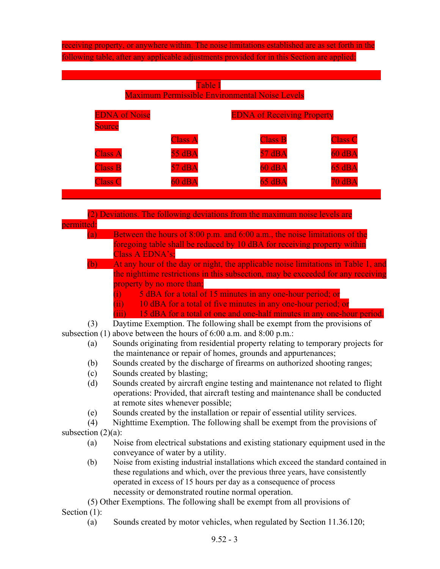# receiving property, or anywhere within. The noise limitations established are as set forth in the following table, after any applicable adjustments provided for in this Section are applied:

| Table I<br><b>Maximum Permissible Environmental Noise Levels</b> |                |                                   |                |
|------------------------------------------------------------------|----------------|-----------------------------------|----------------|
| <b>EDNA</b> of Noise<br><b>Source</b>                            |                | <b>EDNA of Receiving Property</b> |                |
|                                                                  | <b>Class A</b> | <b>Class B</b>                    | <b>Class C</b> |
| <b>Class A</b>                                                   | 55 dBA         | 57 dBA                            | $60$ dBA       |
| <b>Class B</b>                                                   | 57 dBA         | $60$ dBA                          | 65 dBA         |
| <b>Class C</b>                                                   | $60$ dBA       | 65 dBA                            | 70 dBA         |
|                                                                  |                |                                   |                |

|                       | (2) Deviations. The following deviations from the maximum noise levels are          |
|-----------------------|-------------------------------------------------------------------------------------|
| permitted:            |                                                                                     |
| (a)                   | Between the hours of 8:00 p.m. and 6:00 a.m., the noise limitations of the          |
|                       | foregoing table shall be reduced by 10 dBA for receiving property within            |
|                       | Class A EDNA's;                                                                     |
| (b)                   | At any hour of the day or night, the applicable noise limitations in Table 1, and   |
|                       | the nighttime restrictions in this subsection, may be exceeded for any receiving    |
|                       | property by no more than;                                                           |
|                       | 5 dBA for a total of 15 minutes in any one-hour period; or<br>$\ddot{1}$            |
|                       | 10 dBA for a total of five minutes in any one-hour period; or<br>(ii)               |
|                       | (iii) 15 dBA for a total of one and one-half minutes in any one-hour period.        |
| (3)                   | Daytime Exemption. The following shall be exempt from the provisions of             |
| subsection $(1)$      | above between the hours of 6:00 a.m. and 8:00 p.m.:                                 |
| (a)                   | Sounds originating from residential property relating to temporary projects for     |
|                       | the maintenance or repair of homes, grounds and appurtenances;                      |
| (b)                   | Sounds created by the discharge of firearms on authorized shooting ranges;          |
| (c)                   | Sounds created by blasting;                                                         |
| (d)                   | Sounds created by aircraft engine testing and maintenance not related to flight     |
|                       | operations: Provided, that aircraft testing and maintenance shall be conducted      |
|                       | at remote sites whenever possible;                                                  |
| (e)                   | Sounds created by the installation or repair of essential utility services.         |
| (4)                   | Nighttime Exemption. The following shall be exempt from the provisions of           |
| subsection $(2)(a)$ : |                                                                                     |
| (a)                   | Noise from electrical substations and existing stationary equipment used in the     |
|                       | conveyance of water by a utility.                                                   |
| (b)                   | Noise from existing industrial installations which exceed the standard contained in |
|                       | these regulations and which, over the previous three years, have consistently       |
|                       | operated in excess of 15 hours per day as a consequence of process                  |
|                       | necessity or demonstrated routine normal operation.                                 |
|                       | (5) Other Exemptions. The following shall be exempt from all provisions of          |
| Section $(1)$ :       |                                                                                     |
| (a)                   | Sounds created by motor vehicles, when regulated by Section 11.36.120;              |
|                       |                                                                                     |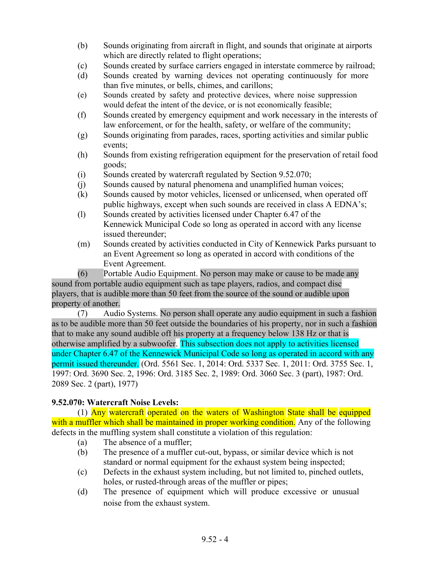- (b) Sounds originating from aircraft in flight, and sounds that originate at airports which are directly related to flight operations;
- (c) Sounds created by surface carriers engaged in interstate commerce by railroad;
- (d) Sounds created by warning devices not operating continuously for more than five minutes, or bells, chimes, and carillons;
- (e) Sounds created by safety and protective devices, where noise suppression would defeat the intent of the device, or is not economically feasible;
- (f) Sounds created by emergency equipment and work necessary in the interests of law enforcement, or for the health, safety, or welfare of the community;
- (g) Sounds originating from parades, races, sporting activities and similar public events;
- (h) Sounds from existing refrigeration equipment for the preservation of retail food goods;
- (i) Sounds created by watercraft regulated by Section 9.52.070;
- (j) Sounds caused by natural phenomena and unamplified human voices;
- (k) Sounds caused by motor vehicles, licensed or unlicensed, when operated off public highways, except when such sounds are received in class A EDNA's;
- (l) Sounds created by activities licensed under Chapter 6.47 of the Kennewick Municipal Code so long as operated in accord with any license issued thereunder;
- (m) Sounds created by activities conducted in City of Kennewick Parks pursuant to an Event Agreement so long as operated in accord with conditions of the Event Agreement.

(6) Portable Audio Equipment. No person may make or cause to be made any sound from portable audio equipment such as tape players, radios, and compact disc players, that is audible more than 50 feet from the source of the sound or audible upon property of another.

(7) Audio Systems. No person shall operate any audio equipment in such a fashion as to be audible more than 50 feet outside the boundaries of his property, nor in such a fashion that to make any sound audible off his property at a frequency below 138 Hz or that is otherwise amplified by a subwoofer. This subsection does not apply to activities licensed under Chapter 6.47 of the Kennewick Municipal Code so long as operated in accord with any permit issued thereunder. (Ord. 5561 Sec. 1, 2014: Ord. 5337 Sec. 1, 2011: Ord. 3755 Sec. 1, 1997: Ord. 3690 Sec. 2, 1996: Ord. 3185 Sec. 2, 1989: Ord. 3060 Sec. 3 (part), 1987: Ord. 2089 Sec. 2 (part), 1977)

## **9.52.070: Watercraft Noise Levels:**

(1) Any watercraft operated on the waters of Washington State shall be equipped with a muffler which shall be maintained in proper working condition. Any of the following defects in the muffling system shall constitute a violation of this regulation:

- (a) The absence of a muffler;
- (b) The presence of a muffler cut-out, bypass, or similar device which is not standard or normal equipment for the exhaust system being inspected;
- (c) Defects in the exhaust system including, but not limited to, pinched outlets, holes, or rusted-through areas of the muffler or pipes;
- (d) The presence of equipment which will produce excessive or unusual noise from the exhaust system.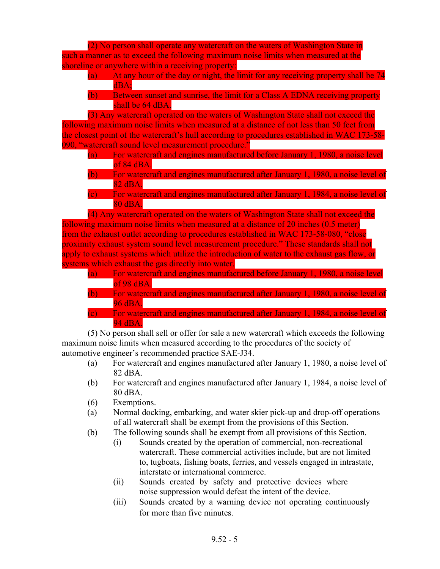(2) No person shall operate any watercraft on the waters of Washington State in such a manner as to exceed the following maximum noise limits when measured at the shoreline or anywhere within a receiving property:

- (a) At any hour of the day or night, the limit for any receiving property shall be 74 dBA;
- (b) Between sunset and sunrise, the limit for a Class A EDNA receiving property shall be 64 dBA.

(3) Any watercraft operated on the waters of Washington State shall not exceed the following maximum noise limits when measured at a distance of not less than 50 feet from the closest point of the watercraft's hull according to procedures established in WAC 173-58- 090, "watercraft sound level measurement procedure."

- (a) For watercraft and engines manufactured before January 1, 1980, a noise level of 84 dBA.
- (b) For watercraft and engines manufactured after January 1, 1980, a noise level of 82 dBA.
- (c) For watercraft and engines manufactured after January 1, 1984, a noise level of 80 dBA.

(4) Any watercraft operated on the waters of Washington State shall not exceed the following maximum noise limits when measured at a distance of 20 inches (0.5 meter) from the exhaust outlet according to procedures established in WAC 173-58-080, "close proximity exhaust system sound level measurement procedure." These standards shall not apply to exhaust systems which utilize the introduction of water to the exhaust gas flow, or systems which exhaust the gas directly into water.

- (a) For watercraft and engines manufactured before January 1, 1980, a noise level of 98 dBA.
- (b) For watercraft and engines manufactured after January 1, 1980, a noise level of 96 dBA.
- (c) For watercraft and engines manufactured after January 1, 1984, a noise level of 94 dBA.

(5) No person shall sell or offer for sale a new watercraft which exceeds the following maximum noise limits when measured according to the procedures of the society of automotive engineer's recommended practice SAE-J34.

- (a) For watercraft and engines manufactured after January 1, 1980, a noise level of 82 dBA.
- (b) For watercraft and engines manufactured after January 1, 1984, a noise level of 80 dBA.
- (6) Exemptions.
- (a) Normal docking, embarking, and water skier pick-up and drop-off operations of all watercraft shall be exempt from the provisions of this Section.
- (b) The following sounds shall be exempt from all provisions of this Section.
	- (i) Sounds created by the operation of commercial, non-recreational watercraft. These commercial activities include, but are not limited to, tugboats, fishing boats, ferries, and vessels engaged in intrastate, interstate or international commerce.
	- (ii) Sounds created by safety and protective devices where noise suppression would defeat the intent of the device.
	- (iii) Sounds created by a warning device not operating continuously for more than five minutes.